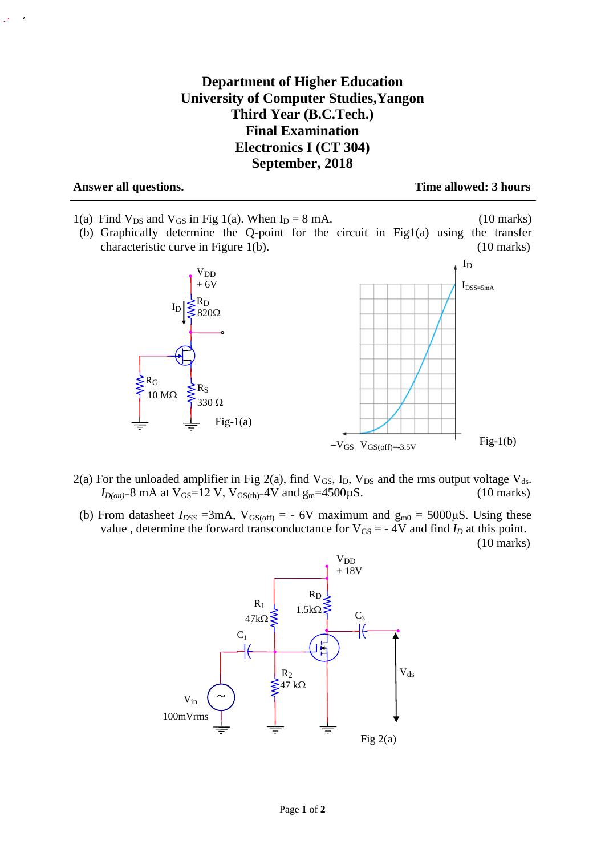## **Department of Higher Education University of Computer Studies,Yangon Third Year (B.C.Tech.) Final Examination Electronics I (CT 304) September, 2018**

**Answer all questions. Time allowed: 3 hours**

- 1(a) Find  $V_{DS}$  and  $V_{GS}$  in Fig 1(a). When  $I_D = 8$  mA. (10 marks)
- (b) Graphically determine the Q-point for the circuit in Fig1(a) using the transfer characteristic curve in Figure 1(b). (10 marks)



- 2(a) For the unloaded amplifier in Fig 2(a), find  $V_{GS}$ ,  $I_D$ ,  $V_{DS}$  and the rms output voltage  $V_{ds}$ .  $I_{D(on)=8}$  mA at  $V_{GS}=12$  V,  $V_{GS(th)=4}$ V and  $g_m=4500 \mu S$ . (10 marks)
- (b) From datasheet  $I_{DSS}$  =3mA,  $V_{GS(off)}$  = 6V maximum and  $g_{m0}$  = 5000 $\mu$ S. Using these value, determine the forward transconductance for  $V_{GS} = -4V$  and find  $I_D$  at this point. (10 marks)